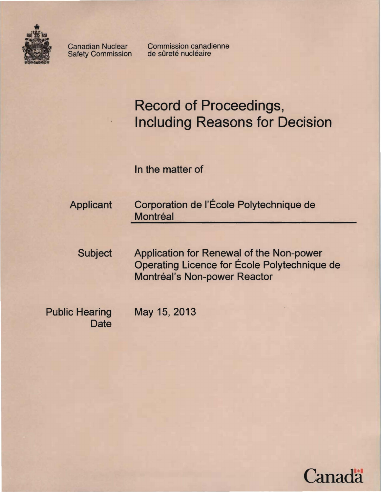

Safety Commission

Canadian Nuclear Commission canadienne<br>Safety Commission de sûreté nucléaire

# **Record of Proceedings, Including Reasons for Decision**

In the matter of

Applicant Corporation de l'École Polytechnique de **Montréal** 

Subject Application for Renewal of the Non-power Operating Licence for Ecole Polytechnique de Montréal's Non-power Reactor

Public Hearing May 15,2013 **Date** 

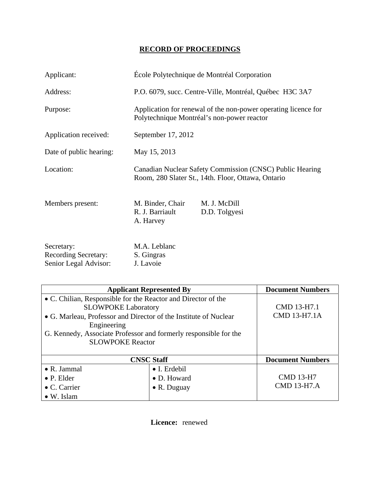# **RECORD OF PROCEEDINGS**

| Applicant:                                                         | École Polytechnique de Montréal Corporation                                                                    |                               |
|--------------------------------------------------------------------|----------------------------------------------------------------------------------------------------------------|-------------------------------|
| Address:                                                           | P.O. 6079, succ. Centre-Ville, Montréal, Québec H3C 3A7                                                        |                               |
| Purpose:                                                           | Application for renewal of the non-power operating licence for<br>Polytechnique Montréal's non-power reactor   |                               |
| Application received:                                              | September 17, 2012                                                                                             |                               |
| Date of public hearing:                                            | May 15, 2013                                                                                                   |                               |
| Location:                                                          | Canadian Nuclear Safety Commission (CNSC) Public Hearing<br>Room, 280 Slater St., 14th. Floor, Ottawa, Ontario |                               |
| Members present:                                                   | M. Binder, Chair<br>R. J. Barriault<br>A. Harvey                                                               | M. J. McDill<br>D.D. Tolgyesi |
| Secretary:<br><b>Recording Secretary:</b><br>Senior Legal Advisor: | M.A. Leblanc<br>S. Gingras<br>J. Lavoie                                                                        |                               |

| <b>Applicant Represented By</b>                                                                                                                                                                                                                                               |                     | <b>Document Numbers</b>     |
|-------------------------------------------------------------------------------------------------------------------------------------------------------------------------------------------------------------------------------------------------------------------------------|---------------------|-----------------------------|
| • C. Chilian, Responsible for the Reactor and Director of the<br><b>SLOWPOKE Laboratory</b><br>• G. Marleau, Professor and Director of the Institute of Nuclear<br>Engineering<br>G. Kennedy, Associate Professor and formerly responsible for the<br><b>SLOWPOKE Reactor</b> |                     | CMD 13-H7.1<br>CMD 13-H7.1A |
| <b>CNSC Staff</b>                                                                                                                                                                                                                                                             |                     | <b>Document Numbers</b>     |
| $\bullet$ R. Jammal                                                                                                                                                                                                                                                           | • I. Erdebil        |                             |
| $\bullet$ P. Elder                                                                                                                                                                                                                                                            | • D. Howard         | <b>CMD 13-H7</b>            |
| $\bullet$ C. Carrier                                                                                                                                                                                                                                                          | $\bullet$ R. Duguay | <b>CMD 13-H7.A</b>          |
| $\bullet$ W. Islam                                                                                                                                                                                                                                                            |                     |                             |

**Licence:** renewed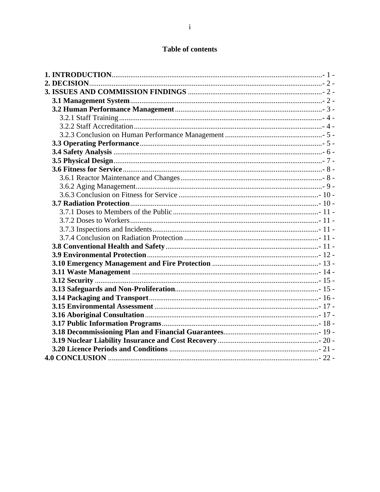# **Table of contents**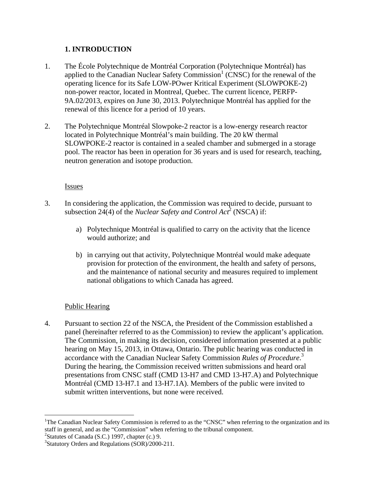# **1. INTRODUCTION**

- 1. The École Polytechnique de Montréal Corporation (Polytechnique Montréal) has applied to the Canadian Nuclear Safety Commission<sup>1</sup> (CNSC) for the renewal of the operating licence for its Safe LOW-POwer Kritical Experiment (SLOWPOKE-2) non-power reactor, located in Montreal, Quebec. The current licence, PERFP-9A.02/2013, expires on June 30, 2013. Polytechnique Montréal has applied for the renewal of this licence for a period of 10 years.
- 2. The Polytechnique Montréal Slowpoke-2 reactor is a low-energy research reactor located in Polytechnique Montréal's main building. The 20 kW thermal SLOWPOKE-2 reactor is contained in a sealed chamber and submerged in a storage pool. The reactor has been in operation for 36 years and is used for research, teaching, neutron generation and isotope production.

#### Issues

- 3. In considering the application, the Commission was required to decide, pursuant to subsection 24(4) of the *Nuclear Safety and Control Act*<sup>2</sup> (NSCA) if:
	- a) Polytechnique Montréal is qualified to carry on the activity that the licence would authorize; and
	- b) in carrying out that activity, Polytechnique Montréal would make adequate provision for protection of the environment, the health and safety of persons, and the maintenance of national security and measures required to implement national obligations to which Canada has agreed.

## Public Hearing

4. Pursuant to section 22 of the NSCA, the President of the Commission established a panel (hereinafter referred to as the Commission) to review the applicant's application. The Commission, in making its decision, considered information presented at a public hearing on May 15, 2013, in Ottawa, Ontario. The public hearing was conducted in accordance with the Canadian Nuclear Safety Commission *Rules of Procedure*. 3 During the hearing, the Commission received written submissions and heard oral presentations from CNSC staff (CMD 13-H7 and CMD 13-H7.A) and Polytechnique Montréal (CMD 13-H7.1 and 13-H7.1A). Members of the public were invited to submit written interventions, but none were received.

 $\overline{a}$ 

<sup>&</sup>lt;sup>1</sup>The Canadian Nuclear Safety Commission is referred to as the "CNSC" when referring to the organization and its staff in general, and as the "Commission" when referring to the tribunal component.

 $2$ Statutes of Canada (S.C.) 1997, chapter (c.) 9.

<sup>&</sup>lt;sup>3</sup>Statutory Orders and Regulations (SOR)/2000-211.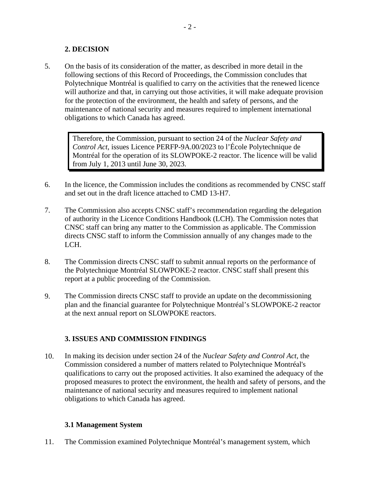# **2. DECISION**

5. On the basis of its consideration of the matter, as described in more detail in the following sections of this Record of Proceedings, the Commission concludes that Polytechnique Montréal is qualified to carry on the activities that the renewed licence will authorize and that, in carrying out those activities, it will make adequate provision for the protection of the environment, the health and safety of persons, and the maintenance of national security and measures required to implement international obligations to which Canada has agreed.

Therefore, the Commission, pursuant to section 24 of the *Nuclear Safety and Control Act*, issues Licence PERFP-9A.00/2023 to l'École Polytechnique de Montréal for the operation of its SLOWPOKE-2 reactor. The licence will be valid from July 1, 2013 until June 30, 2023.

- 6. In the licence, the Commission includes the conditions as recommended by CNSC staff and set out in the draft licence attached to CMD 13-H7.
- 7. The Commission also accepts CNSC staff's recommendation regarding the delegation of authority in the Licence Conditions Handbook (LCH). The Commission notes that CNSC staff can bring any matter to the Commission as applicable. The Commission directs CNSC staff to inform the Commission annually of any changes made to the LCH.
- 8. The Commission directs CNSC staff to submit annual reports on the performance of the Polytechnique Montréal SLOWPOKE-2 reactor. CNSC staff shall present this report at a public proceeding of the Commission.
- 9. The Commission directs CNSC staff to provide an update on the decommissioning plan and the financial guarantee for Polytechnique Montréal's SLOWPOKE-2 reactor at the next annual report on SLOWPOKE reactors.

# **3. ISSUES AND COMMISSION FINDINGS**

10. In making its decision under section 24 of the *Nuclear Safety and Control Act*, the Commission considered a number of matters related to Polytechnique Montréal's qualifications to carry out the proposed activities. It also examined the adequacy of the proposed measures to protect the environment, the health and safety of persons, and the maintenance of national security and measures required to implement national obligations to which Canada has agreed.

## **3.1 Management System**

11. The Commission examined Polytechnique Montréal's management system, which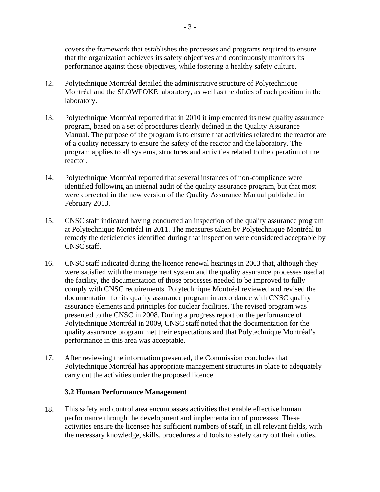covers the framework that establishes the processes and programs required to ensure that the organization achieves its safety objectives and continuously monitors its performance against those objectives, while fostering a healthy safety culture.

- 12. Polytechnique Montréal detailed the administrative structure of Polytechnique Montréal and the SLOWPOKE laboratory, as well as the duties of each position in the laboratory.
- 13. Polytechnique Montréal reported that in 2010 it implemented its new quality assurance program, based on a set of procedures clearly defined in the Quality Assurance Manual. The purpose of the program is to ensure that activities related to the reactor are of a quality necessary to ensure the safety of the reactor and the laboratory. The program applies to all systems, structures and activities related to the operation of the reactor.
- 14. Polytechnique Montréal reported that several instances of non-compliance were identified following an internal audit of the quality assurance program, but that most were corrected in the new version of the Quality Assurance Manual published in February 2013.
- 15. CNSC staff indicated having conducted an inspection of the quality assurance program at Polytechnique Montréal in 2011. The measures taken by Polytechnique Montréal to remedy the deficiencies identified during that inspection were considered acceptable by CNSC staff.
- 16. CNSC staff indicated during the licence renewal hearings in 2003 that, although they were satisfied with the management system and the quality assurance processes used at the facility, the documentation of those processes needed to be improved to fully comply with CNSC requirements. Polytechnique Montréal reviewed and revised the documentation for its quality assurance program in accordance with CNSC quality assurance elements and principles for nuclear facilities. The revised program was presented to the CNSC in 2008. During a progress report on the performance of Polytechnique Montréal in 2009, CNSC staff noted that the documentation for the quality assurance program met their expectations and that Polytechnique Montréal's performance in this area was acceptable.
- 17. After reviewing the information presented, the Commission concludes that Polytechnique Montréal has appropriate management structures in place to adequately carry out the activities under the proposed licence.

#### **3.2 Human Performance Management**

18. This safety and control area encompasses activities that enable effective human performance through the development and implementation of processes. These activities ensure the licensee has sufficient numbers of staff, in all relevant fields, with the necessary knowledge, skills, procedures and tools to safely carry out their duties.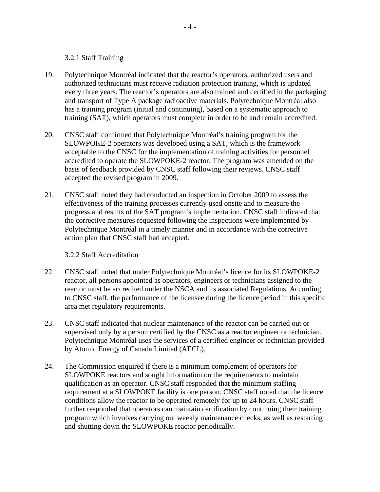#### 3.2.1 Staff Training

- 19. Polytechnique Montréal indicated that the reactor's operators, authorized users and authorized technicians must receive radiation protection training, which is updated every three years. The reactor's operators are also trained and certified in the packaging and transport of Type A package radioactive materials. Polytechnique Montréal also has a training program (initial and continuing), based on a systematic approach to training (SAT), which operators must complete in order to be and remain accredited.
- 20. CNSC staff confirmed that Polytechnique Montréal's training program for the SLOWPOKE-2 operators was developed using a SAT, which is the framework acceptable to the CNSC for the implementation of training activities for personnel accredited to operate the SLOWPOKE-2 reactor. The program was amended on the basis of feedback provided by CNSC staff following their reviews. CNSC staff accepted the revised program in 2009.
- 21. CNSC staff noted they had conducted an inspection in October 2009 to assess the effectiveness of the training processes currently used onsite and to measure the progress and results of the SAT program's implementation. CNSC staff indicated that the corrective measures requested following the inspections were implemented by Polytechnique Montréal in a timely manner and in accordance with the corrective action plan that CNSC staff had accepted.

#### 3.2.2 Staff Accreditation

- 22. CNSC staff noted that under Polytechnique Montréal's licence for its SLOWPOKE-2 reactor, all persons appointed as operators, engineers or technicians assigned to the reactor must be accredited under the NSCA and its associated Regulations. According to CNSC staff, the performance of the licensee during the licence period in this specific area met regulatory requirements.
- 23. CNSC staff indicated that nuclear maintenance of the reactor can be carried out or supervised only by a person certified by the CNSC as a reactor engineer or technician. Polytechnique Montréal uses the services of a certified engineer or technician provided by Atomic Energy of Canada Limited (AECL).
- 24. The Commission enquired if there is a minimum complement of operators for SLOWPOKE reactors and sought information on the requirements to maintain qualification as an operator. CNSC staff responded that the minimum staffing requirement at a SLOWPOKE facility is one person. CNSC staff noted that the licence conditions allow the reactor to be operated remotely for up to 24 hours. CNSC staff further responded that operators can maintain certification by continuing their training program which involves carrying out weekly maintenance checks, as well as restarting and shutting down the SLOWPOKE reactor periodically.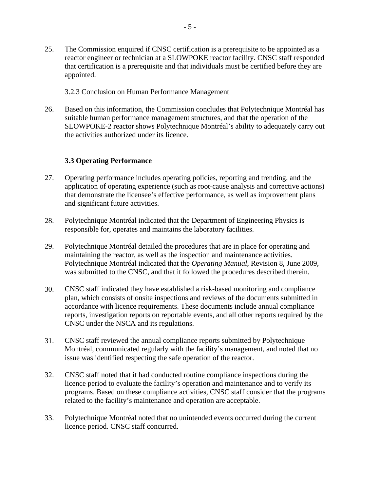- 25. The Commission enquired if CNSC certification is a prerequisite to be appointed as a reactor engineer or technician at a SLOWPOKE reactor facility. CNSC staff responded that certification is a prerequisite and that individuals must be certified before they are appointed.
	- 3.2.3 Conclusion on Human Performance Management
- 26. Based on this information, the Commission concludes that Polytechnique Montréal has suitable human performance management structures, and that the operation of the SLOWPOKE-2 reactor shows Polytechnique Montréal's ability to adequately carry out the activities authorized under its licence.

#### **3.3 Operating Performance**

- 27. Operating performance includes operating policies, reporting and trending, and the application of operating experience (such as root-cause analysis and corrective actions) that demonstrate the licensee's effective performance, as well as improvement plans and significant future activities.
- 28. Polytechnique Montréal indicated that the Department of Engineering Physics is responsible for, operates and maintains the laboratory facilities.
- 29. Polytechnique Montréal detailed the procedures that are in place for operating and maintaining the reactor, as well as the inspection and maintenance activities. Polytechnique Montréal indicated that the *Operating Manual*, Revision 8, June 2009, was submitted to the CNSC, and that it followed the procedures described therein.
- 30. CNSC staff indicated they have established a risk-based monitoring and compliance plan, which consists of onsite inspections and reviews of the documents submitted in accordance with licence requirements. These documents include annual compliance reports, investigation reports on reportable events, and all other reports required by the CNSC under the NSCA and its regulations.
- 31. CNSC staff reviewed the annual compliance reports submitted by Polytechnique Montréal, communicated regularly with the facility's management, and noted that no issue was identified respecting the safe operation of the reactor.
- 32. CNSC staff noted that it had conducted routine compliance inspections during the licence period to evaluate the facility's operation and maintenance and to verify its programs. Based on these compliance activities, CNSC staff consider that the programs related to the facility's maintenance and operation are acceptable.
- 33. Polytechnique Montréal noted that no unintended events occurred during the current licence period. CNSC staff concurred.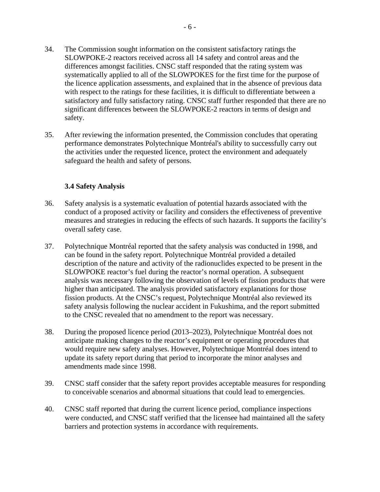- 34. The Commission sought information on the consistent satisfactory ratings the SLOWPOKE-2 reactors received across all 14 safety and control areas and the differences amongst facilities. CNSC staff responded that the rating system was systematically applied to all of the SLOWPOKES for the first time for the purpose of the licence application assessments, and explained that in the absence of previous data with respect to the ratings for these facilities, it is difficult to differentiate between a satisfactory and fully satisfactory rating. CNSC staff further responded that there are no significant differences between the SLOWPOKE-2 reactors in terms of design and safety.
- 35. After reviewing the information presented, the Commission concludes that operating performance demonstrates Polytechnique Montréal's ability to successfully carry out the activities under the requested licence, protect the environment and adequately safeguard the health and safety of persons.

#### **3.4 Safety Analysis**

- 36. Safety analysis is a systematic evaluation of potential hazards associated with the conduct of a proposed activity or facility and considers the effectiveness of preventive measures and strategies in reducing the effects of such hazards. It supports the facility's overall safety case.
- 37. Polytechnique Montréal reported that the safety analysis was conducted in 1998, and can be found in the safety report. Polytechnique Montréal provided a detailed description of the nature and activity of the radionuclides expected to be present in the SLOWPOKE reactor's fuel during the reactor's normal operation. A subsequent analysis was necessary following the observation of levels of fission products that were higher than anticipated. The analysis provided satisfactory explanations for those fission products. At the CNSC's request, Polytechnique Montréal also reviewed its safety analysis following the nuclear accident in Fukushima, and the report submitted to the CNSC revealed that no amendment to the report was necessary.
- 38. During the proposed licence period (2013–2023), Polytechnique Montréal does not anticipate making changes to the reactor's equipment or operating procedures that would require new safety analyses. However, Polytechnique Montréal does intend to update its safety report during that period to incorporate the minor analyses and amendments made since 1998.
- 39. CNSC staff consider that the safety report provides acceptable measures for responding to conceivable scenarios and abnormal situations that could lead to emergencies.
- 40. CNSC staff reported that during the current licence period, compliance inspections were conducted, and CNSC staff verified that the licensee had maintained all the safety barriers and protection systems in accordance with requirements.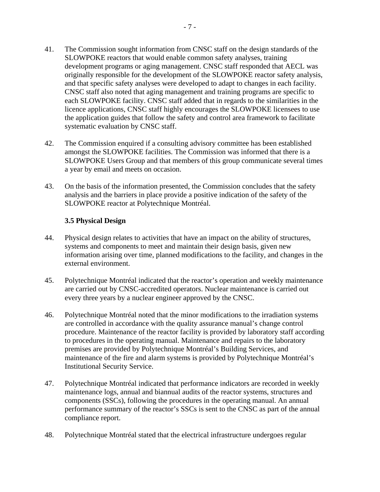- 41. The Commission sought information from CNSC staff on the design standards of the SLOWPOKE reactors that would enable common safety analyses, training development programs or aging management. CNSC staff responded that AECL was originally responsible for the development of the SLOWPOKE reactor safety analysis, and that specific safety analyses were developed to adapt to changes in each facility. CNSC staff also noted that aging management and training programs are specific to each SLOWPOKE facility. CNSC staff added that in regards to the similarities in the licence applications, CNSC staff highly encourages the SLOWPOKE licensees to use the application guides that follow the safety and control area framework to facilitate systematic evaluation by CNSC staff.
- 42. The Commission enquired if a consulting advisory committee has been established amongst the SLOWPOKE facilities. The Commission was informed that there is a SLOWPOKE Users Group and that members of this group communicate several times a year by email and meets on occasion.
- 43. On the basis of the information presented, the Commission concludes that the safety analysis and the barriers in place provide a positive indication of the safety of the SLOWPOKE reactor at Polytechnique Montréal.

#### **3.5 Physical Design**

- 44. Physical design relates to activities that have an impact on the ability of structures, systems and components to meet and maintain their design basis, given new information arising over time, planned modifications to the facility, and changes in the external environment.
- 45. Polytechnique Montréal indicated that the reactor's operation and weekly maintenance are carried out by CNSC-accredited operators. Nuclear maintenance is carried out every three years by a nuclear engineer approved by the CNSC.
- 46. Polytechnique Montréal noted that the minor modifications to the irradiation systems are controlled in accordance with the quality assurance manual's change control procedure. Maintenance of the reactor facility is provided by laboratory staff according to procedures in the operating manual. Maintenance and repairs to the laboratory premises are provided by Polytechnique Montréal's Building Services, and maintenance of the fire and alarm systems is provided by Polytechnique Montréal's Institutional Security Service.
- 47. Polytechnique Montréal indicated that performance indicators are recorded in weekly maintenance logs, annual and biannual audits of the reactor systems, structures and components (SSCs), following the procedures in the operating manual. An annual performance summary of the reactor's SSCs is sent to the CNSC as part of the annual compliance report.
- 48. Polytechnique Montréal stated that the electrical infrastructure undergoes regular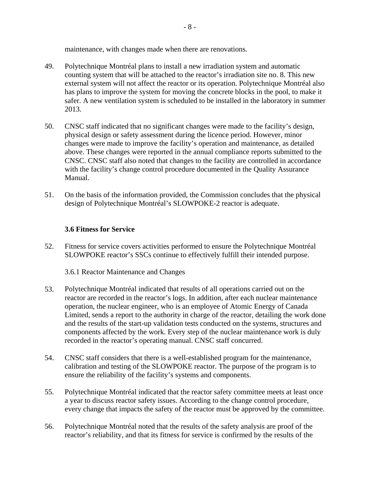maintenance, with changes made when there are renovations.

- 49. Polytechnique Montréal plans to install a new irradiation system and automatic counting system that will be attached to the reactor's irradiation site no. 8. This new external system will not affect the reactor or its operation. Polytechnique Montréal also has plans to improve the system for moving the concrete blocks in the pool, to make it safer. A new ventilation system is scheduled to be installed in the laboratory in summer 2013.
- 50. CNSC staff indicated that no significant changes were made to the facility's design, physical design or safety assessment during the licence period. However, minor changes were made to improve the facility's operation and maintenance, as detailed above. These changes were reported in the annual compliance reports submitted to the CNSC. CNSC staff also noted that changes to the facility are controlled in accordance with the facility's change control procedure documented in the Quality Assurance Manual.
- 51. On the basis of the information provided, the Commission concludes that the physical design of Polytechnique Montréal's SLOWPOKE-2 reactor is adequate.

#### **3.6 Fitness for Service**

52. Fitness for service covers activities performed to ensure the Polytechnique Montréal SLOWPOKE reactor's SSCs continue to effectively fulfill their intended purpose.

3.6.1 Reactor Maintenance and Changes

- 53. Polytechnique Montréal indicated that results of all operations carried out on the reactor are recorded in the reactor's logs. In addition, after each nuclear maintenance operation, the nuclear engineer, who is an employee of Atomic Energy of Canada Limited, sends a report to the authority in charge of the reactor, detailing the work done and the results of the start-up validation tests conducted on the systems, structures and components affected by the work. Every step of the nuclear maintenance work is duly recorded in the reactor's operating manual. CNSC staff concurred.
- 54. CNSC staff considers that there is a well-established program for the maintenance, calibration and testing of the SLOWPOKE reactor. The purpose of the program is to ensure the reliability of the facility's systems and components.
- 55. Polytechnique Montréal indicated that the reactor safety committee meets at least once a year to discuss reactor safety issues. According to the change control procedure, every change that impacts the safety of the reactor must be approved by the committee.
- 56. Polytechnique Montréal noted that the results of the safety analysis are proof of the reactor's reliability, and that its fitness for service is confirmed by the results of the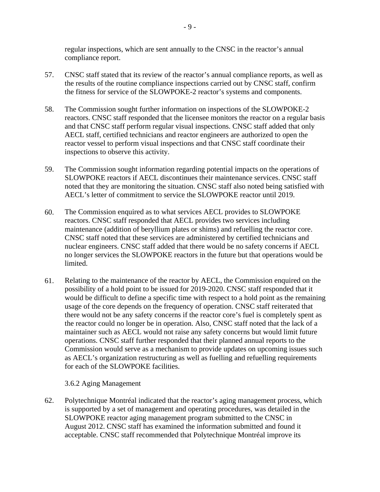regular inspections, which are sent annually to the CNSC in the reactor's annual compliance report.

- 57. CNSC staff stated that its review of the reactor's annual compliance reports, as well as the results of the routine compliance inspections carried out by CNSC staff, confirm the fitness for service of the SLOWPOKE-2 reactor's systems and components.
- 58. The Commission sought further information on inspections of the SLOWPOKE-2 reactors. CNSC staff responded that the licensee monitors the reactor on a regular basis and that CNSC staff perform regular visual inspections. CNSC staff added that only AECL staff, certified technicians and reactor engineers are authorized to open the reactor vessel to perform visual inspections and that CNSC staff coordinate their inspections to observe this activity.
- 59. The Commission sought information regarding potential impacts on the operations of SLOWPOKE reactors if AECL discontinues their maintenance services. CNSC staff noted that they are monitoring the situation. CNSC staff also noted being satisfied with AECL's letter of commitment to service the SLOWPOKE reactor until 2019.
- 60. The Commission enquired as to what services AECL provides to SLOWPOKE reactors. CNSC staff responded that AECL provides two services including maintenance (addition of beryllium plates or shims) and refuelling the reactor core. CNSC staff noted that these services are administered by certified technicians and nuclear engineers. CNSC staff added that there would be no safety concerns if AECL no longer services the SLOWPOKE reactors in the future but that operations would be limited.
- 61. Relating to the maintenance of the reactor by AECL, the Commission enquired on the possibility of a hold point to be issued for 2019-2020. CNSC staff responded that it would be difficult to define a specific time with respect to a hold point as the remaining usage of the core depends on the frequency of operation. CNSC staff reiterated that there would not be any safety concerns if the reactor core's fuel is completely spent as the reactor could no longer be in operation. Also, CNSC staff noted that the lack of a maintainer such as AECL would not raise any safety concerns but would limit future operations. CNSC staff further responded that their planned annual reports to the Commission would serve as a mechanism to provide updates on upcoming issues such as AECL's organization restructuring as well as fuelling and refuelling requirements for each of the SLOWPOKE facilities.

#### 3.6.2 Aging Management

62. Polytechnique Montréal indicated that the reactor's aging management process, which is supported by a set of management and operating procedures, was detailed in the SLOWPOKE reactor aging management program submitted to the CNSC in August 2012. CNSC staff has examined the information submitted and found it acceptable. CNSC staff recommended that Polytechnique Montréal improve its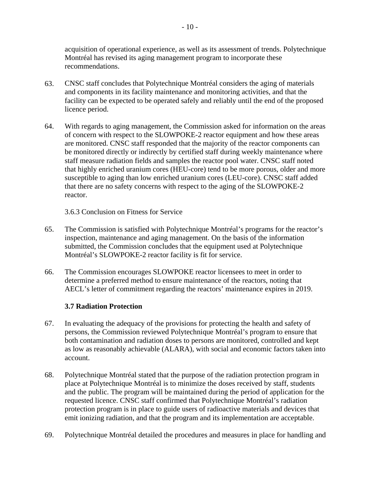acquisition of operational experience, as well as its assessment of trends. Polytechnique Montréal has revised its aging management program to incorporate these recommendations.

- 63. CNSC staff concludes that Polytechnique Montréal considers the aging of materials and components in its facility maintenance and monitoring activities, and that the facility can be expected to be operated safely and reliably until the end of the proposed licence period.
- 64. With regards to aging management, the Commission asked for information on the areas of concern with respect to the SLOWPOKE-2 reactor equipment and how these areas are monitored. CNSC staff responded that the majority of the reactor components can be monitored directly or indirectly by certified staff during weekly maintenance where staff measure radiation fields and samples the reactor pool water. CNSC staff noted that highly enriched uranium cores (HEU-core) tend to be more porous, older and more susceptible to aging than low enriched uranium cores (LEU-core). CNSC staff added that there are no safety concerns with respect to the aging of the SLOWPOKE-2 reactor.

3.6.3 Conclusion on Fitness for Service

- 65. The Commission is satisfied with Polytechnique Montréal's programs for the reactor's inspection, maintenance and aging management. On the basis of the information submitted, the Commission concludes that the equipment used at Polytechnique Montréal's SLOWPOKE-2 reactor facility is fit for service.
- 66. The Commission encourages SLOWPOKE reactor licensees to meet in order to determine a preferred method to ensure maintenance of the reactors, noting that AECL's letter of commitment regarding the reactors' maintenance expires in 2019.

## **3.7 Radiation Protection**

- 67. In evaluating the adequacy of the provisions for protecting the health and safety of persons, the Commission reviewed Polytechnique Montréal's program to ensure that both contamination and radiation doses to persons are monitored, controlled and kept as low as reasonably achievable (ALARA), with social and economic factors taken into account.
- 68. Polytechnique Montréal stated that the purpose of the radiation protection program in place at Polytechnique Montréal is to minimize the doses received by staff, students and the public. The program will be maintained during the period of application for the requested licence. CNSC staff confirmed that Polytechnique Montréal's radiation protection program is in place to guide users of radioactive materials and devices that emit ionizing radiation, and that the program and its implementation are acceptable.
- 69. Polytechnique Montréal detailed the procedures and measures in place for handling and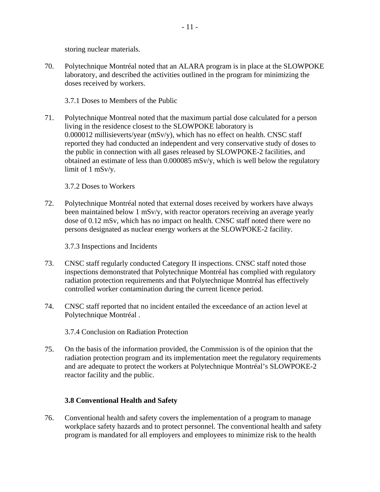storing nuclear materials.

70. Polytechnique Montréal noted that an ALARA program is in place at the SLOWPOKE laboratory, and described the activities outlined in the program for minimizing the doses received by workers.

3.7.1 Doses to Members of the Public

71. Polytechnique Montreal noted that the maximum partial dose calculated for a person living in the residence closest to the SLOWPOKE laboratory is 0.000012 millisieverts/year (mSv/y), which has no effect on health. CNSC staff reported they had conducted an independent and very conservative study of doses to the public in connection with all gases released by SLOWPOKE-2 facilities, and obtained an estimate of less than 0.000085 mSv/y, which is well below the regulatory limit of 1 mSv/y.

3.7.2 Doses to Workers

72. Polytechnique Montréal noted that external doses received by workers have always been maintained below 1 mSv/y, with reactor operators receiving an average yearly dose of 0.12 mSv, which has no impact on health. CNSC staff noted there were no persons designated as nuclear energy workers at the SLOWPOKE-2 facility.

3.7.3 Inspections and Incidents

- 73. CNSC staff regularly conducted Category II inspections. CNSC staff noted those inspections demonstrated that Polytechnique Montréal has complied with regulatory radiation protection requirements and that Polytechnique Montréal has effectively controlled worker contamination during the current licence period.
- 74. CNSC staff reported that no incident entailed the exceedance of an action level at Polytechnique Montréal .

3.7.4 Conclusion on Radiation Protection

75. On the basis of the information provided, the Commission is of the opinion that the radiation protection program and its implementation meet the regulatory requirements and are adequate to protect the workers at Polytechnique Montréal's SLOWPOKE-2 reactor facility and the public.

## **3.8 Conventional Health and Safety**

76. Conventional health and safety covers the implementation of a program to manage workplace safety hazards and to protect personnel. The conventional health and safety program is mandated for all employers and employees to minimize risk to the health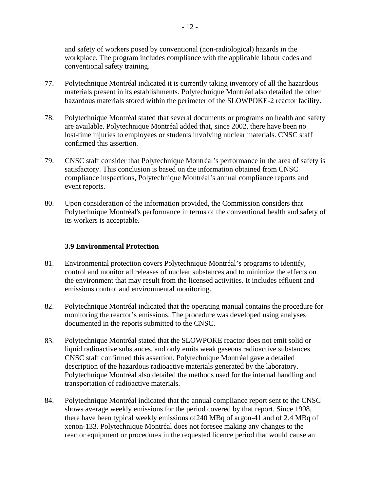and safety of workers posed by conventional (non-radiological) hazards in the workplace. The program includes compliance with the applicable labour codes and conventional safety training.

- 77. Polytechnique Montréal indicated it is currently taking inventory of all the hazardous materials present in its establishments. Polytechnique Montréal also detailed the other hazardous materials stored within the perimeter of the SLOWPOKE-2 reactor facility.
- 78. Polytechnique Montréal stated that several documents or programs on health and safety are available. Polytechnique Montréal added that, since 2002, there have been no lost-time injuries to employees or students involving nuclear materials. CNSC staff confirmed this assertion.
- 79. CNSC staff consider that Polytechnique Montréal's performance in the area of safety is satisfactory. This conclusion is based on the information obtained from CNSC compliance inspections, Polytechnique Montréal's annual compliance reports and event reports.
- its workers is acceptable. 80. Upon consideration of the information provided, the Commission considers that Polytechnique Montréal's performance in terms of the conventional health and safety of

#### **3.9 Environmental Protection**

- 81. Environmental protection covers Polytechnique Montréal's programs to identify, control and monitor all releases of nuclear substances and to minimize the effects on the environment that may result from the licensed activities. It includes effluent and emissions control and environmental monitoring.
- 82. Polytechnique Montréal indicated that the operating manual contains the procedure for monitoring the reactor's emissions. The procedure was developed using analyses documented in the reports submitted to the CNSC.
- 83. Polytechnique Montréal stated that the SLOWPOKE reactor does not emit solid or liquid radioactive substances, and only emits weak gaseous radioactive substances. CNSC staff confirmed this assertion. Polytechnique Montréal gave a detailed description of the hazardous radioactive materials generated by the laboratory. Polytechnique Montréal also detailed the methods used for the internal handling and transportation of radioactive materials.
- 84. Polytechnique Montréal indicated that the annual compliance report sent to the CNSC shows average weekly emissions for the period covered by that report. Since 1998, there have been typical weekly emissions of240 MBq of argon-41 and of 2.4 MBq of xenon-133. Polytechnique Montréal does not foresee making any changes to the reactor equipment or procedures in the requested licence period that would cause an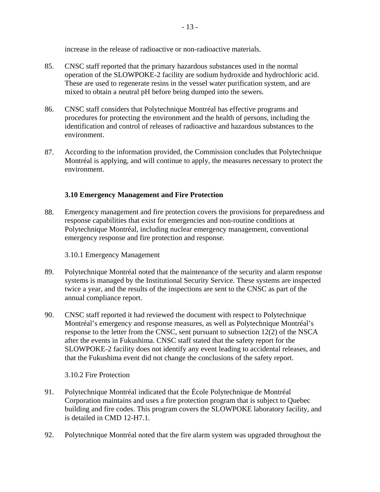increase in the release of radioactive or non-radioactive materials.

- 85. CNSC staff reported that the primary hazardous substances used in the normal operation of the SLOWPOKE-2 facility are sodium hydroxide and hydrochloric acid. These are used to regenerate resins in the vessel water purification system, and are mixed to obtain a neutral pH before being dumped into the sewers.
- 86. CNSC staff considers that Polytechnique Montréal has effective programs and procedures for protecting the environment and the health of persons, including the identification and control of releases of radioactive and hazardous substances to the environment.
- 87. According to the information provided, the Commission concludes that Polytechnique Montréal is applying, and will continue to apply, the measures necessary to protect the environment.

# **3.10 Emergency Management and Fire Protection**

88. Emergency management and fire protection covers the provisions for preparedness and response capabilities that exist for emergencies and non-routine conditions at Polytechnique Montréal, including nuclear emergency management, conventional emergency response and fire protection and response.

3.10.1 Emergency Management

- 89. Polytechnique Montréal noted that the maintenance of the security and alarm response systems is managed by the Institutional Security Service. These systems are inspected twice a year, and the results of the inspections are sent to the CNSC as part of the annual compliance report.
- 90. CNSC staff reported it had reviewed the document with respect to Polytechnique Montréal's emergency and response measures, as well as Polytechnique Montréal's response to the letter from the CNSC, sent pursuant to subsection 12(2) of the NSCA after the events in Fukushima. CNSC staff stated that the safety report for the SLOWPOKE-2 facility does not identify any event leading to accidental releases, and that the Fukushima event did not change the conclusions of the safety report.

3.10.2 Fire Protection

- 91. Polytechnique Montréal indicated that the École Polytechnique de Montréal Corporation maintains and uses a fire protection program that is subject to Quebec building and fire codes. This program covers the SLOWPOKE laboratory facility, and is detailed in CMD 12-H7.1.
- 92. Polytechnique Montréal noted that the fire alarm system was upgraded throughout the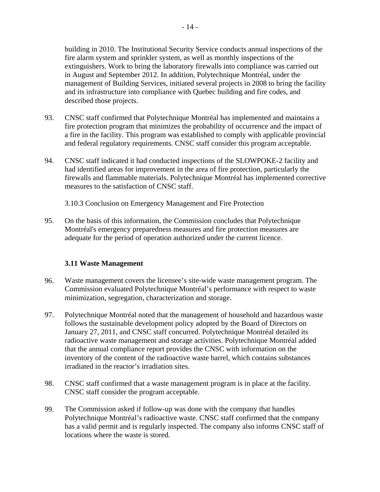building in 2010. The Institutional Security Service conducts annual inspections of the fire alarm system and sprinkler system, as well as monthly inspections of the extinguishers. Work to bring the laboratory firewalls into compliance was carried out in August and September 2012. In addition, Polytechnique Montréal, under the management of Building Services, initiated several projects in 2008 to bring the facility and its infrastructure into compliance with Quebec building and fire codes, and described those projects.

- 93. CNSC staff confirmed that Polytechnique Montréal has implemented and maintains a fire protection program that minimizes the probability of occurrence and the impact of a fire in the facility. This program was established to comply with applicable provincial and federal regulatory requirements. CNSC staff consider this program acceptable.
- 94. CNSC staff indicated it had conducted inspections of the SLOWPOKE-2 facility and had identified areas for improvement in the area of fire protection, particularly the firewalls and flammable materials. Polytechnique Montréal has implemented corrective measures to the satisfaction of CNSC staff.

3.10.3 Conclusion on Emergency Management and Fire Protection

95. On the basis of this information, the Commission concludes that Polytechnique Montréal's emergency preparedness measures and fire protection measures are adequate for the period of operation authorized under the current licence.

## **3.11 Waste Management**

- 96. Waste management covers the licensee's site-wide waste management program. The Commission evaluated Polytechnique Montréal's performance with respect to waste minimization, segregation, characterization and storage.
- 97. Polytechnique Montréal noted that the management of household and hazardous waste follows the sustainable development policy adopted by the Board of Directors on January 27, 2011, and CNSC staff concurred. Polytechnique Montréal detailed its radioactive waste management and storage activities. Polytechnique Montréal added that the annual compliance report provides the CNSC with information on the inventory of the content of the radioactive waste barrel, which contains substances irradiated in the reactor's irradiation sites.
- 98. CNSC staff confirmed that a waste management program is in place at the facility. CNSC staff consider the program acceptable.
- 99. The Commission asked if follow-up was done with the company that handles Polytechnique Montréal's radioactive waste. CNSC staff confirmed that the company has a valid permit and is regularly inspected. The company also informs CNSC staff of locations where the waste is stored.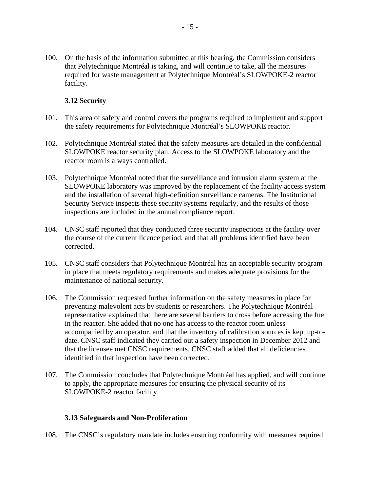100. On the basis of the information submitted at this hearing, the Commission considers that Polytechnique Montréal is taking, and will continue to take, all the measures required for waste management at Polytechnique Montréal's SLOWPOKE-2 reactor facility.

## **3.12 Security**

- 101. This area of safety and control covers the programs required to implement and support the safety requirements for Polytechnique Montréal's SLOWPOKE reactor.
- 102. Polytechnique Montréal stated that the safety measures are detailed in the confidential SLOWPOKE reactor security plan. Access to the SLOWPOKE laboratory and the reactor room is always controlled.
- 103. Polytechnique Montréal noted that the surveillance and intrusion alarm system at the SLOWPOKE laboratory was improved by the replacement of the facility access system and the installation of several high-definition surveillance cameras. The Institutional Security Service inspects these security systems regularly, and the results of those inspections are included in the annual compliance report.
- 104. CNSC staff reported that they conducted three security inspections at the facility over the course of the current licence period, and that all problems identified have been corrected.
- 105. CNSC staff considers that Polytechnique Montréal has an acceptable security program in place that meets regulatory requirements and makes adequate provisions for the maintenance of national security.
- 106. The Commission requested further information on the safety measures in place for preventing malevolent acts by students or researchers. The Polytechnique Montréal representative explained that there are several barriers to cross before accessing the fuel in the reactor. She added that no one has access to the reactor room unless accompanied by an operator, and that the inventory of calibration sources is kept up-todate. CNSC staff indicated they carried out a safety inspection in December 2012 and that the licensee met CNSC requirements. CNSC staff added that all deficiencies identified in that inspection have been corrected.
- 107. The Commission concludes that Polytechnique Montréal has applied, and will continue to apply, the appropriate measures for ensuring the physical security of its SLOWPOKE-2 reactor facility.

#### **3.13 Safeguards and Non-Proliferation**

108. The CNSC's regulatory mandate includes ensuring conformity with measures required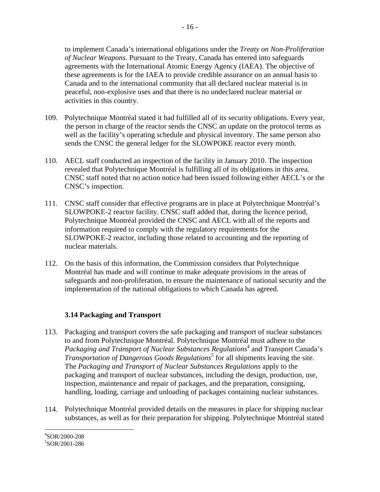to implement Canada's international obligations under the *Treaty on Non-Proliferation of Nuclear Weapons*. Pursuant to the Treaty, Canada has entered into safeguards agreements with the International Atomic Energy Agency (IAEA). The objective of these agreements is for the IAEA to provide credible assurance on an annual basis to Canada and to the international community that all declared nuclear material is in peaceful, non-explosive uses and that there is no undeclared nuclear material or activities in this country.

- 109. Polytechnique Montréal stated it had fulfilled all of its security obligations. Every year, the person in charge of the reactor sends the CNSC an update on the protocol terms as well as the facility's operating schedule and physical inventory. The same person also sends the CNSC the general ledger for the SLOWPOKE reactor every month.
- 110. AECL staff conducted an inspection of the facility in January 2010. The inspection revealed that Polytechnique Montréal is fulfilling all of its obligations in this area. CNSC staff noted that no action notice had been issued following either AECL's or the CNSC's inspection.
- 111. CNSC staff consider that effective programs are in place at Polytechnique Montréal's SLOWPOKE-2 reactor facility. CNSC staff added that, during the licence period, Polytechnique Montréal provided the CNSC and AECL with all of the reports and information required to comply with the regulatory requirements for the SLOWPOKE-2 reactor, including those related to accounting and the reporting of nuclear materials.
- 112. On the basis of this information, the Commission considers that Polytechnique Montréal has made and will continue to make adequate provisions in the areas of safeguards and non-proliferation, to ensure the maintenance of national security and the implementation of the national obligations to which Canada has agreed.

# **3.14 Packaging and Transport**

- 113. Packaging and transport covers the safe packaging and transport of nuclear substances to and from Polytechnique Montréal. Polytechnique Montréal must adhere to the Packaging and Transport of Nuclear Substances Regulations<sup>4</sup> and Transport Canada's *Transportation of Dangerous Goods Regulations*<sup>5</sup> for all shipments leaving the site. The *Packaging and Transport of Nuclear Substances Regulations* apply to the packaging and transport of nuclear substances, including the design, production, use, inspection, maintenance and repair of packages, and the preparation, consigning, handling, loading, carriage and unloading of packages containing nuclear substances.
- 114. Polytechnique Montréal provided details on the measures in place for shipping nuclear substances, as well as for their preparation for shipping. Polytechnique Montréal stated

 $\overline{a}$ 4 SOR/2000-208 5 SOR/2001-286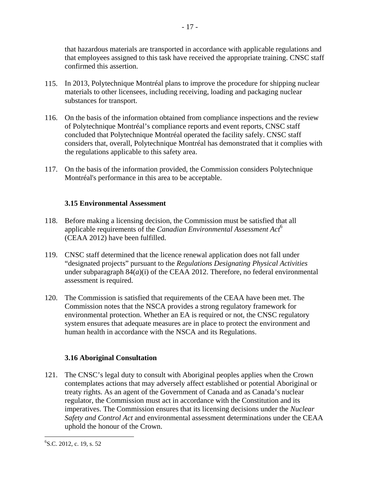that hazardous materials are transported in accordance with applicable regulations and that employees assigned to this task have received the appropriate training. CNSC staff confirmed this assertion.

- 17 -

- 115. In 2013, Polytechnique Montréal plans to improve the procedure for shipping nuclear materials to other licensees, including receiving, loading and packaging nuclear substances for transport.
- 116. On the basis of the information obtained from compliance inspections and the review of Polytechnique Montréal's compliance reports and event reports, CNSC staff concluded that Polytechnique Montréal operated the facility safely. CNSC staff considers that, overall, Polytechnique Montréal has demonstrated that it complies with the regulations applicable to this safety area.
- 117. On the basis of the information provided, the Commission considers Polytechnique Montréal's performance in this area to be acceptable.

# **3.15 Environmental Assessment**

- 118. Before making a licensing decision, the Commission must be satisfied that all applicable requirements of the *Canadian Environmental Assessment Act*<sup>6</sup> (CEAA 2012) have been fulfilled.
- 119. CNSC staff determined that the licence renewal application does not fall under "designated projects" pursuant to the *Regulations Designating Physical Activities*  under subparagraph  $84(a)(i)$  of the CEAA 2012. Therefore, no federal environmental assessment is required.
- 120. The Commission is satisfied that requirements of the CEAA have been met. The Commission notes that the NSCA provides a strong regulatory framework for environmental protection. Whether an EA is required or not, the CNSC regulatory system ensures that adequate measures are in place to protect the environment and human health in accordance with the NSCA and its Regulations.

## **3.16 Aboriginal Consultation**

121. The CNSC's legal duty to consult with Aboriginal peoples applies when the Crown contemplates actions that may adversely affect established or potential Aboriginal or treaty rights. As an agent of the Government of Canada and as Canada's nuclear regulator, the Commission must act in accordance with the Constitution and its imperatives. The Commission ensures that its licensing decisions under the *Nuclear Safety and Control Act* and environmental assessment determinations under the CEAA uphold the honour of the Crown.

<u>.</u>

<sup>&</sup>lt;sup>6</sup>S.C. 2012, c. 19, s. 52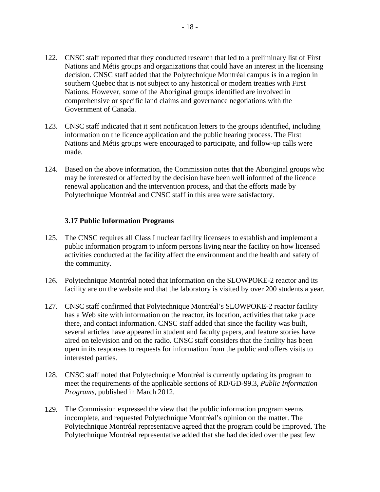- 122. CNSC staff reported that they conducted research that led to a preliminary list of First Nations and Métis groups and organizations that could have an interest in the licensing decision. CNSC staff added that the Polytechnique Montréal campus is in a region in southern Quebec that is not subject to any historical or modern treaties with First Nations. However, some of the Aboriginal groups identified are involved in comprehensive or specific land claims and governance negotiations with the Government of Canada.
- 123. CNSC staff indicated that it sent notification letters to the groups identified, including information on the licence application and the public hearing process. The First Nations and Métis groups were encouraged to participate, and follow-up calls were made.
- 124. Based on the above information, the Commission notes that the Aboriginal groups who may be interested or affected by the decision have been well informed of the licence renewal application and the intervention process, and that the efforts made by Polytechnique Montréal and CNSC staff in this area were satisfactory.

#### **3.17 Public Information Programs**

- 125. The CNSC requires all Class I nuclear facility licensees to establish and implement a public information program to inform persons living near the facility on how licensed activities conducted at the facility affect the environment and the health and safety of the community.
- 126. Polytechnique Montréal noted that information on the SLOWPOKE-2 reactor and its facility are on the website and that the laboratory is visited by over 200 students a year.
- 127. CNSC staff confirmed that Polytechnique Montréal's SLOWPOKE-2 reactor facility has a Web site with information on the reactor, its location, activities that take place there, and contact information. CNSC staff added that since the facility was built, several articles have appeared in student and faculty papers, and feature stories have aired on television and on the radio. CNSC staff considers that the facility has been open in its responses to requests for information from the public and offers visits to interested parties.
- 128. CNSC staff noted that Polytechnique Montréal is currently updating its program to meet the requirements of the applicable sections of RD/GD-99.3, *Public Information Programs*, published in March 2012.
- 129. The Commission expressed the view that the public information program seems incomplete, and requested Polytechnique Montréal's opinion on the matter. The Polytechnique Montréal representative agreed that the program could be improved. The Polytechnique Montréal representative added that she had decided over the past few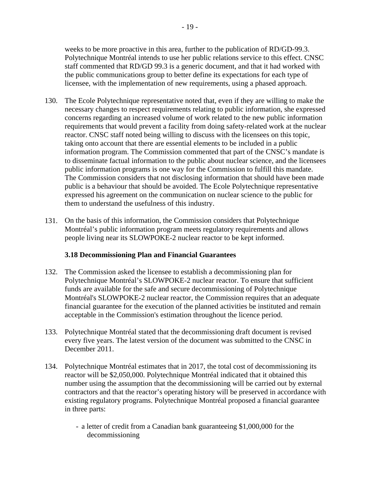weeks to be more proactive in this area, further to the publication of RD/GD-99.3. Polytechnique Montréal intends to use her public relations service to this effect. CNSC staff commented that RD/GD 99.3 is a generic document, and that it had worked with the public communications group to better define its expectations for each type of licensee, with the implementation of new requirements, using a phased approach.

- 130. The Ecole Polytechnique representative noted that, even if they are willing to make the necessary changes to respect requirements relating to public information, she expressed concerns regarding an increased volume of work related to the new public information requirements that would prevent a facility from doing safety-related work at the nuclear reactor. CNSC staff noted being willing to discuss with the licensees on this topic, taking onto account that there are essential elements to be included in a public information program. The Commission commented that part of the CNSC's mandate is to disseminate factual information to the public about nuclear science, and the licensees public information programs is one way for the Commission to fulfill this mandate. The Commission considers that not disclosing information that should have been made public is a behaviour that should be avoided. The Ecole Polytechnique representative expressed his agreement on the communication on nuclear science to the public for them to understand the usefulness of this industry.
- 131. On the basis of this information, the Commission considers that Polytechnique Montréal's public information program meets regulatory requirements and allows people living near its SLOWPOKE-2 nuclear reactor to be kept informed.

## **3.18 Decommissioning Plan and Financial Guarantees**

- 132. The Commission asked the licensee to establish a decommissioning plan for Polytechnique Montréal's SLOWPOKE-2 nuclear reactor. To ensure that sufficient funds are available for the safe and secure decommissioning of Polytechnique Montréal's SLOWPOKE-2 nuclear reactor, the Commission requires that an adequate financial guarantee for the execution of the planned activities be instituted and remain acceptable in the Commission's estimation throughout the licence period.
- 133. Polytechnique Montréal stated that the decommissioning draft document is revised every five years. The latest version of the document was submitted to the CNSC in December 2011.
- 134. Polytechnique Montréal estimates that in 2017, the total cost of decommissioning its reactor will be \$2,050,000. Polytechnique Montréal indicated that it obtained this number using the assumption that the decommissioning will be carried out by external contractors and that the reactor's operating history will be preserved in accordance with existing regulatory programs. Polytechnique Montréal proposed a financial guarantee in three parts:
	- a letter of credit from a Canadian bank guaranteeing \$1,000,000 for the decommissioning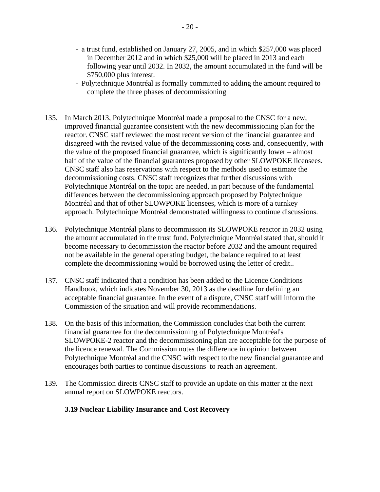- a trust fund, established on January 27, 2005, and in which \$257,000 was placed in December 2012 and in which \$25,000 will be placed in 2013 and each following year until 2032. In 2032, the amount accumulated in the fund will be \$750,000 plus interest.
- Polytechnique Montréal is formally committed to adding the amount required to complete the three phases of decommissioning
- 135. In March 2013, Polytechnique Montréal made a proposal to the CNSC for a new, improved financial guarantee consistent with the new decommissioning plan for the reactor. CNSC staff reviewed the most recent version of the financial guarantee and disagreed with the revised value of the decommissioning costs and, consequently, with the value of the proposed financial guarantee, which is significantly lower – almost half of the value of the financial guarantees proposed by other SLOWPOKE licensees. CNSC staff also has reservations with respect to the methods used to estimate the decommissioning costs. CNSC staff recognizes that further discussions with Polytechnique Montréal on the topic are needed, in part because of the fundamental differences between the decommissioning approach proposed by Polytechnique Montréal and that of other SLOWPOKE licensees, which is more of a turnkey approach. Polytechnique Montréal demonstrated willingness to continue discussions.
- 136. Polytechnique Montréal plans to decommission its SLOWPOKE reactor in 2032 using the amount accumulated in the trust fund. Polytechnique Montréal stated that, should it become necessary to decommission the reactor before 2032 and the amount required not be available in the general operating budget, the balance required to at least complete the decommissioning would be borrowed using the letter of credit..
- 137. CNSC staff indicated that a condition has been added to the Licence Conditions Handbook, which indicates November 30, 2013 as the deadline for defining an acceptable financial guarantee. In the event of a dispute, CNSC staff will inform the Commission of the situation and will provide recommendations.
- 138. On the basis of this information, the Commission concludes that both the current financial guarantee for the decommissioning of Polytechnique Montréal's SLOWPOKE-2 reactor and the decommissioning plan are acceptable for the purpose of the licence renewal. The Commission notes the difference in opinion between Polytechnique Montréal and the CNSC with respect to the new financial guarantee and encourages both parties to continue discussions to reach an agreement.
- 139. The Commission directs CNSC staff to provide an update on this matter at the next annual report on SLOWPOKE reactors.

#### **3.19 Nuclear Liability Insurance and Cost Recovery**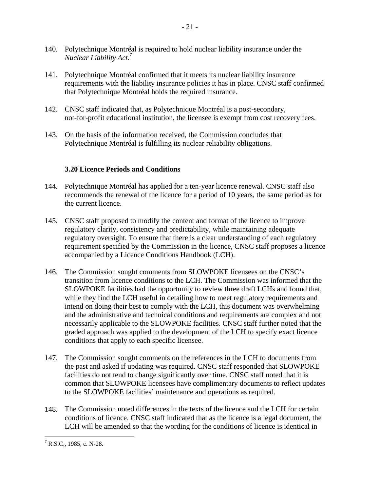- 140. Polytechnique Montréal is required to hold nuclear liability insurance under the *Nuclear Liability Act*. 7
- 141. Polytechnique Montréal confirmed that it meets its nuclear liability insurance requirements with the liability insurance policies it has in place. CNSC staff confirmed that Polytechnique Montréal holds the required insurance.
- 142. CNSC staff indicated that, as Polytechnique Montréal is a post-secondary, not-for-profit educational institution, the licensee is exempt from cost recovery fees.
- 143. On the basis of the information received, the Commission concludes that Polytechnique Montréal is fulfilling its nuclear reliability obligations.

# **3.20 Licence Periods and Conditions**

- 144. Polytechnique Montréal has applied for a ten-year licence renewal. CNSC staff also recommends the renewal of the licence for a period of 10 years, the same period as for the current licence.
- 145. CNSC staff proposed to modify the content and format of the licence to improve regulatory clarity, consistency and predictability, while maintaining adequate regulatory oversight. To ensure that there is a clear understanding of each regulatory requirement specified by the Commission in the licence, CNSC staff proposes a licence accompanied by a Licence Conditions Handbook (LCH).
- 146. The Commission sought comments from SLOWPOKE licensees on the CNSC's transition from licence conditions to the LCH. The Commission was informed that the SLOWPOKE facilities had the opportunity to review three draft LCHs and found that, while they find the LCH useful in detailing how to meet regulatory requirements and intend on doing their best to comply with the LCH, this document was overwhelming and the administrative and technical conditions and requirements are complex and not necessarily applicable to the SLOWPOKE facilities. CNSC staff further noted that the graded approach was applied to the development of the LCH to specify exact licence conditions that apply to each specific licensee.
- 147. The Commission sought comments on the references in the LCH to documents from the past and asked if updating was required. CNSC staff responded that SLOWPOKE facilities do not tend to change significantly over time. CNSC staff noted that it is common that SLOWPOKE licensees have complimentary documents to reflect updates to the SLOWPOKE facilities' maintenance and operations as required.
- 148. The Commission noted differences in the texts of the licence and the LCH for certain conditions of licence. CNSC staff indicated that as the licence is a legal document, the LCH will be amended so that the wording for the conditions of licence is identical in

 $\overline{a}$  $<sup>7</sup>$  R.S.C., 1985, c. N-28.</sup>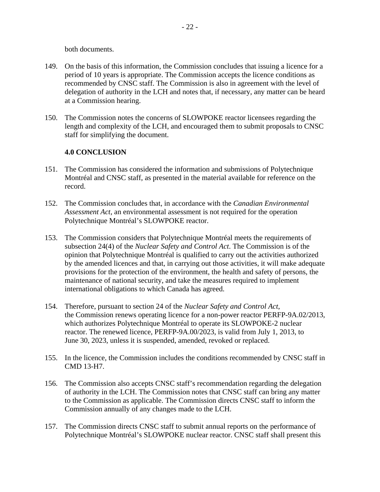both documents.

- 149. On the basis of this information, the Commission concludes that issuing a licence for a period of 10 years is appropriate. The Commission accepts the licence conditions as recommended by CNSC staff. The Commission is also in agreement with the level of delegation of authority in the LCH and notes that, if necessary, any matter can be heard at a Commission hearing.
- 150. The Commission notes the concerns of SLOWPOKE reactor licensees regarding the length and complexity of the LCH, and encouraged them to submit proposals to CNSC staff for simplifying the document.

## **4.0 CONCLUSION**

- 151. The Commission has considered the information and submissions of Polytechnique Montréal and CNSC staff, as presented in the material available for reference on the record.
- 152. The Commission concludes that, in accordance with the *Canadian Environmental Assessment Act*, an environmental assessment is not required for the operation Polytechnique Montréal's SLOWPOKE reactor.
- 153. The Commission considers that Polytechnique Montréal meets the requirements of subsection 24(4) of the *Nuclear Safety and Control Act*. The Commission is of the opinion that Polytechnique Montréal is qualified to carry out the activities authorized by the amended licences and that, in carrying out those activities, it will make adequate provisions for the protection of the environment, the health and safety of persons, the maintenance of national security, and take the measures required to implement international obligations to which Canada has agreed.
- 154. Therefore, pursuant to section 24 of the *Nuclear Safety and Control Act*, the Commission renews operating licence for a non-power reactor PERFP-9A.02/2013, which authorizes Polytechnique Montréal to operate its SLOWPOKE-2 nuclear reactor. The renewed licence, PERFP-9A.00/2023, is valid from July 1, 2013, to June 30, 2023, unless it is suspended, amended, revoked or replaced.
- 155. In the licence, the Commission includes the conditions recommended by CNSC staff in CMD 13-H7.
- 156. The Commission also accepts CNSC staff's recommendation regarding the delegation of authority in the LCH. The Commission notes that CNSC staff can bring any matter to the Commission as applicable. The Commission directs CNSC staff to inform the Commission annually of any changes made to the LCH.
- 157. The Commission directs CNSC staff to submit annual reports on the performance of Polytechnique Montréal's SLOWPOKE nuclear reactor. CNSC staff shall present this